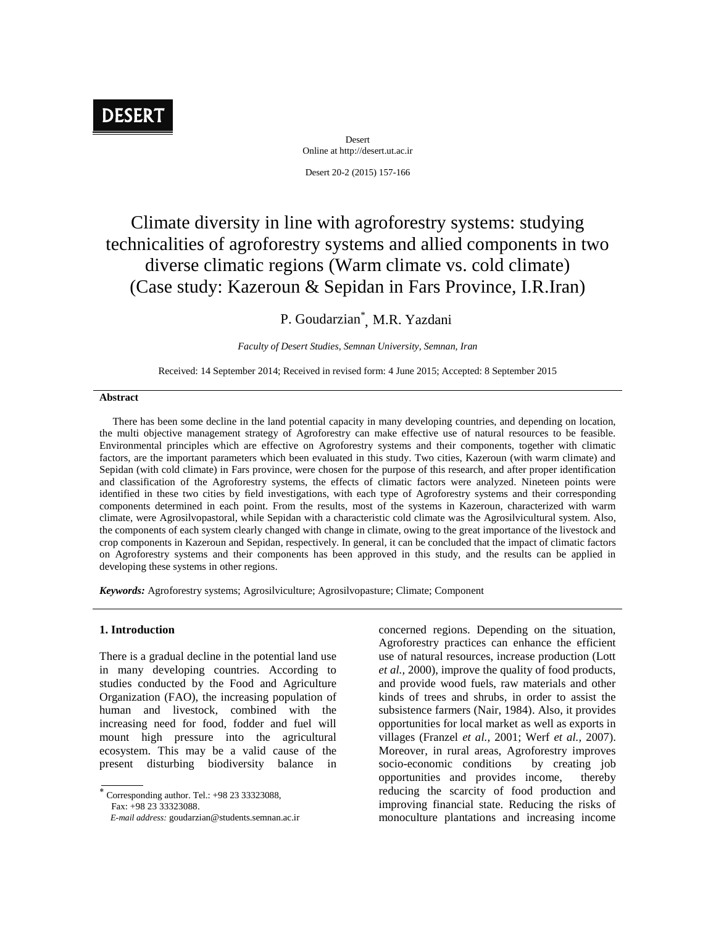# **DESERT**

Desert Online at http://desert.ut.ac.ir Desert 20-2 (2015) 157-166

## Climate diversity in line with agroforestry systems: studying technicalities of agroforestry systems and allied components in two diverse climatic regions (Warm climate vs.cold climate) (Case study: Kazeroun & Sepidan in Fars Province, I.R.Iran)

### P. Goudarzian\* , M.R. Yazdani

*Faculty of Desert Studies, Semnan University, Semnan, Iran*

Received: 14 September 2014; Received in revised form: 4 June 2015; Accepted: 8 September 2015

#### **Abstract**

There has been some decline in the land potential capacity in many developing countries, and depending on location, the multi objective management strategy of Agroforestry can make effective use of natural resources to be feasible. Environmental principles which are effective on Agroforestry systems and their components, together with climatic factors, are the important parameters which been evaluated in this study. Two cities, Kazeroun (with warm climate) and Sepidan (with cold climate) in Fars province, were chosen for the purpose of this research, and after proper identification and classification of the Agroforestry systems, the effects of climatic factors were analyzed. Nineteen points were identified in these two cities by field investigations, with each type of Agroforestry systems and their corresponding components determined in each point. From the results, most of the systems in Kazeroun, characterized with warm climate, were Agrosilvopastoral, while Sepidan with a characteristic cold climate was the Agrosilvicultural system. Also, the components of each system clearly changed with change in climate, owing to the great importance of the livestock and crop components in Kazeroun and Sepidan, respectively. In general, it can be concluded that the impact of climatic factors on Agroforestry systems and their components has been approved in this study, and the results can be applied in developing these systems in other regions.

*Keywords:* Agroforestry systems; Agrosilviculture; Agrosilvopasture; Climate; Component

#### **1. Introduction**

There is a gradual decline in the potential land use in many developing countries. According to studies conducted by the Food and Agriculture Organization (FAO), the increasing population of human and livestock, combined with the increasing need for food, fodder and fuel will mount high pressure into the agricultural ecosystem. This may be a valid cause of the present disturbing biodiversity balance in

 Corresponding author. Tel.: +98 <sup>23</sup> 33323088, Fax: +98 23 33323088.

concerned regions. Depending on the situation, Agroforestry practices can enhance the efficient use of natural resources, increase production (Lott *et al.,* 2000), improve the quality of food products, and provide wood fuels, raw materials and other kinds of trees and shrubs, in order to assist the subsistence farmers (Nair, 1984). Also, it provides opportunities for local market as well as exports in villages (Franzel *et al.,* 2001; Werf *et al.,* 2007). Moreover, in rural areas, Agroforestry improves socio-economic conditions by creating job opportunities and provides income, thereby reducing the scarcity of food production and improving financial state. Reducing the risks of monoculture plantations and increasing income

*E-mail address:* goudarzian@students.semnan.ac.ir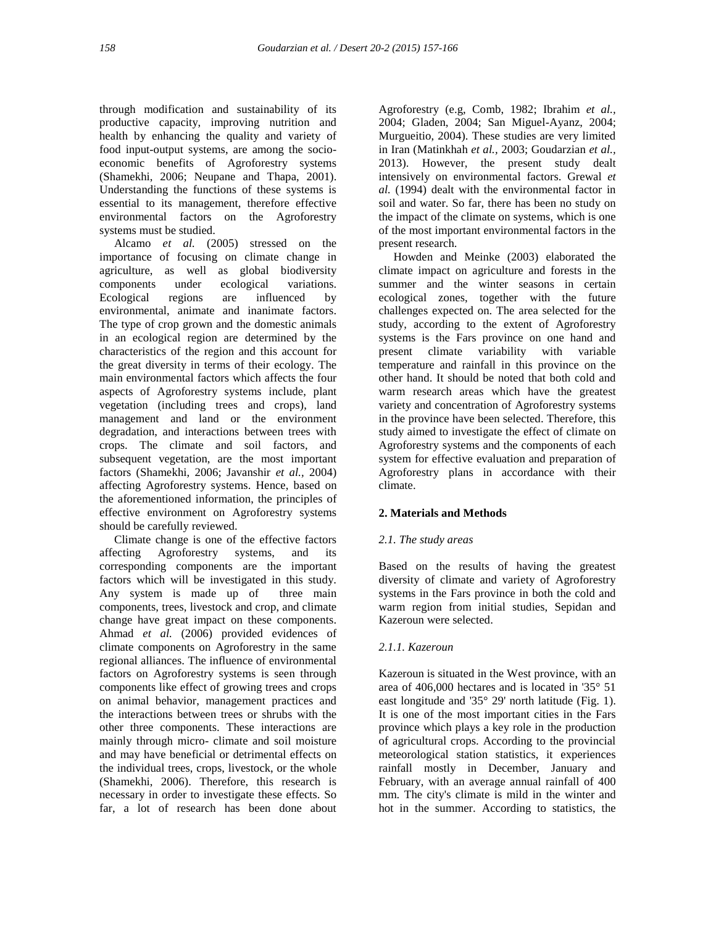through modification and sustainability of its productive capacity, improving nutrition and health by enhancing the quality and variety of food input-output systems, are among the socio economic benefits of Agroforestry systems (Shamekhi, 2006; Neupane and Thapa, 2001). Understanding the functions of these systems is essential to its management, therefore effective environmental factors on the Agroforestry systems must be studied.

Alcamo *et al.* (2005) stressed on the importance of focusing on climate change in agriculture, as well as global biodiversity components under ecological variations. Ecological regions are influenced by environmental, animate and inanimate factors. The type of crop grown and the domestic animals in an ecological region are determined by the characteristics of the region and this account for the great diversity in terms of their ecology. The main environmental factors which affects the four aspects of Agroforestry systems include, plant vegetation (including trees and crops), land management and land or the environment degradation, and interactions between trees with crops. The climate and soil factors, and subsequent vegetation, are the most important factors (Shamekhi, 2006; Javanshir *et al.,* 2004) affecting Agroforestry systems. Hence, based on the aforementioned information, the principles of effective environment on Agroforestry systems should be carefully reviewed.

Climate change is one of the effective factors affecting Agroforestry systems, and its corresponding components are the important factors which will be investigated in this study. Any system is made up of three main components, trees, livestock and crop, and climate change have great impact on these components. Ahmad *et al.* (2006) provided evidences of climate components on Agroforestry in the same regional alliances. The influence of environmental factors on Agroforestry systems is seen through components like effect of growing trees and crops on animal behavior, management practices and the interactions between trees or shrubs with the other three components. These interactions are mainly through micro- climate and soil moisture and may have beneficial or detrimental effects on the individual trees, crops, livestock, or the whole (Shamekhi, 2006). Therefore, this research is necessary in order to investigate these effects. So far, a lot of research has been done about

Agroforestry (e.g, Comb, 1982; Ibrahim *et al.,* 2004; Gladen, 2004; San Miguel-Ayanz, 2004; Murgueitio, 2004). These studies are very limited in Iran (Matinkhah *et al.,* 2003; Goudarzian *et al.,* 2013). However, the present study dealt intensively on environmental factors. Grewal *et al.* (1994) dealt with the environmental factor in soil and water. So far, there has been no study on the impact of the climate on systems, which is one of the most important environmental factors in the present research.

Howden and Meinke (2003) elaborated the climate impact on agriculture and forests in the summer and the winter seasons in certain ecological zones, together with the future challenges expected on. The area selected for the study, according to the extent of Agroforestry systems is the Fars province on one hand and present climate variability with variable temperature and rainfall in this province on the other hand. It should be noted that both cold and warm research areas which have the greatest variety and concentration of Agroforestry systems in the province have been selected. Therefore, this study aimed to investigate the effect of climate on Agroforestry systems and the components of each system for effective evaluation and preparation of Agroforestry plans in accordance with their climate.

#### **2. Materials and Methods**

#### *2.1. The study areas*

Based on the results of having the greatest diversity of climate and variety of Agroforestry systems in the Fars province in both the cold and warm region from initial studies, Sepidan and Kazeroun were selected.

#### *2.1.1. Kazeroun*

Kazeroun is situated in the West province, with an area of 406,000 hectares and is located in '35° 51 east longitude and '35° 29' north latitude (Fig. 1). It is one of the most important cities in the Fars province which plays a key role in the production of agricultural crops. According to the provincial meteorological station statistics, it experiences rainfall mostly in December, January and February, with an average annual rainfall of 400 mm. The city's climate is mild in the winter and hot in the summer. According to statistics, the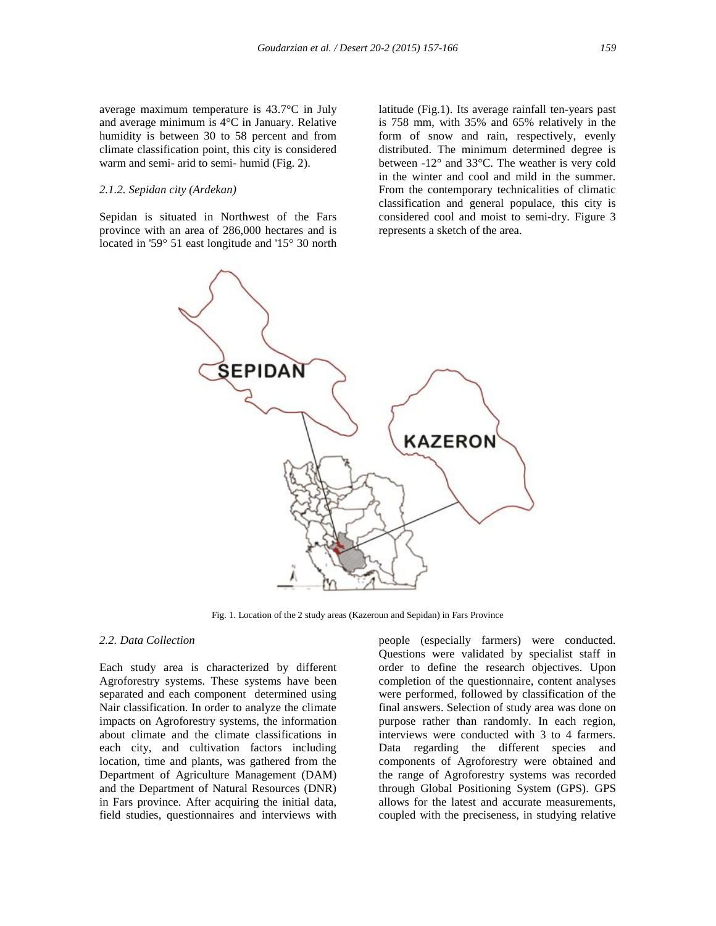average maximum temperature is 43.7°C in July and average minimum is 4°C in January. Relative humidity is between 30 to 58 percent and from climate classification point, this city is considered warm and semi- arid to semi- humid (Fig. 2).

#### *2.1.2. Sepidan city (Ardekan)*

Sepidan is situated in Northwest of the Fars province with an area of 286,000 hectares and is located in '59° 51 east longitude and '15° 30 north

latitude (Fig.1). Its average rainfall ten-years past is 758 mm, with 35% and 65% relatively in the form of snow and rain, respectively, evenly distributed. The minimum determined degree is between -12° and 33°C. The weather is very cold in the winter and cool and mild in the summer. From the contemporary technicalities of climatic classification and general populace, this city is considered cool and moist to semi-dry. Figure 3 represents a sketch of the area.



Fig. 1. Location of the 2 study areas (Kazeroun and Sepidan) in Fars Province

#### *2.2. Data Collection*

Each study area is characterized by different Agroforestry systems. These systems have been separated and each component determined using Nair classification. In order to analyze the climate impacts on Agroforestry systems, the information about climate and the climate classifications in each city, and cultivation factors including location, time and plants, was gathered from the Department of Agriculture Management (DAM) and the Department of Natural Resources (DNR) in Fars province. After acquiring the initial data, field studies, questionnaires and interviews with

people (especially farmers) were conducted. Questions were validated by specialist staff in order to define the research objectives. Upon completion of the questionnaire, content analyses were performed, followed by classification of the final answers. Selection of study area was done on purpose rather than randomly. In each region, interviews were conducted with 3 to 4 farmers. Data regarding the different species and components of Agroforestry were obtained and the range of Agroforestry systems was recorded through Global Positioning System (GPS). GPS allows for the latest and accurate measurements, coupled with the preciseness, in studying relative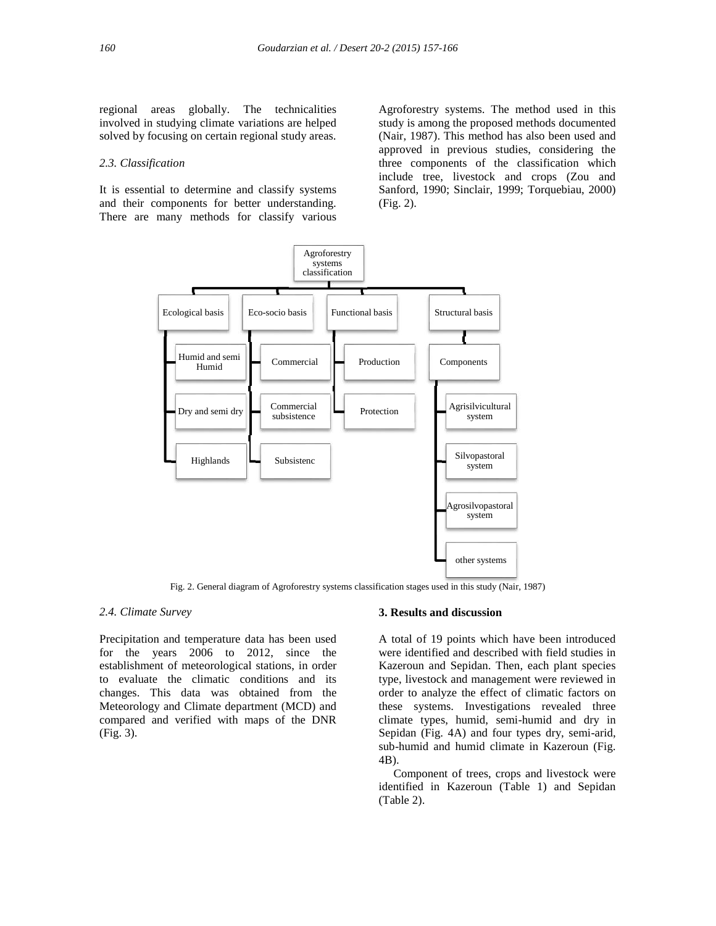regional areas globally. The technicalities involved in studying climate variations are helped solved by focusing on certain regional study areas.

#### *2.3. Classification*

It is essential to determine and classify systems and their components for better understanding. There are many methods for classify various Agroforestry systems. The method used in this study is among the proposed methods documented (Nair, 1987). This method has also been used and approved in previous studies, considering the three components of the classification which include tree, livestock and crops (Zou and Sanford, 1990; Sinclair, 1999; Torquebiau, 2000) (Fig. 2).



Fig. 2. General diagram of Agroforestry systems classification stages used in this study (Nair, 1987)

#### *2.4. Climate Survey*

Precipitation and temperature data has been used for the years 2006 to 2012, since the establishment of meteorological stations, in order to evaluate the climatic conditions and its changes. This data was obtained from the Meteorology and Climate department (MCD) and compared and verified with maps of the DNR (Fig. 3).

#### **3. Results and discussion**

A total of 19 points which have been introduced were identified and described with field studies in Kazeroun and Sepidan. Then, each plant species type, livestock and management were reviewed in order to analyze the effect of climatic factors on these systems. Investigations revealed three climate types, humid, semi-humid and dry in Sepidan (Fig. 4A) and four types dry, semi-arid, sub-humid and humid climate in Kazeroun (Fig. 4B).

Component of trees, crops and livestock were identified in Kazeroun (Table 1) and Sepidan (Table 2).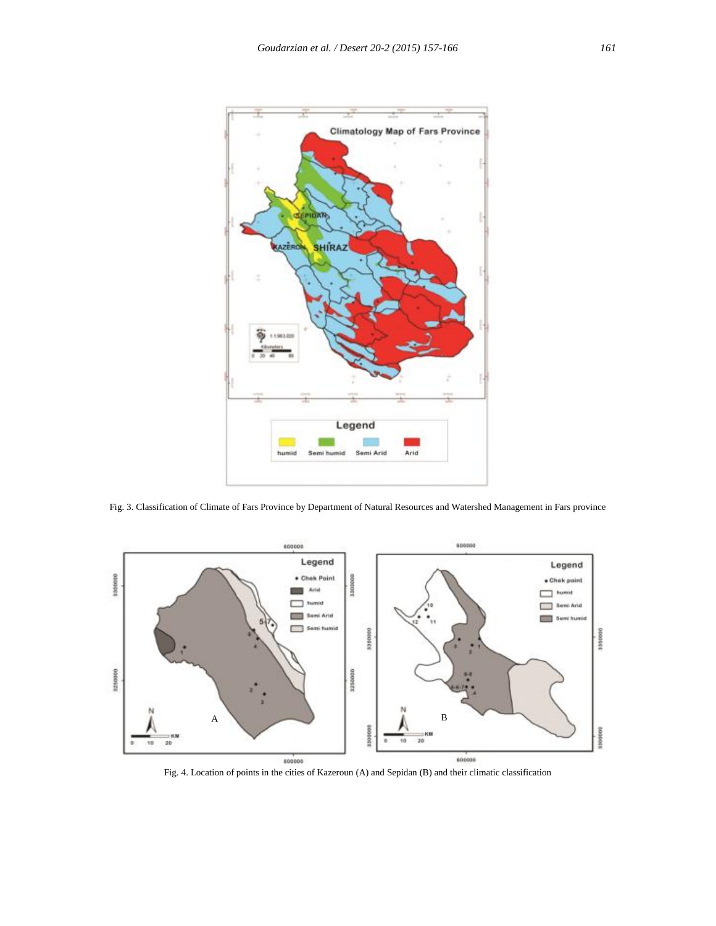

Fig. 3. Classification of Climate of Fars Province by Department of Natural Resources and Watershed Management in Fars province



Fig. 4. Location of points in the cities of Kazeroun (A) and Sepidan (B) and their climatic classification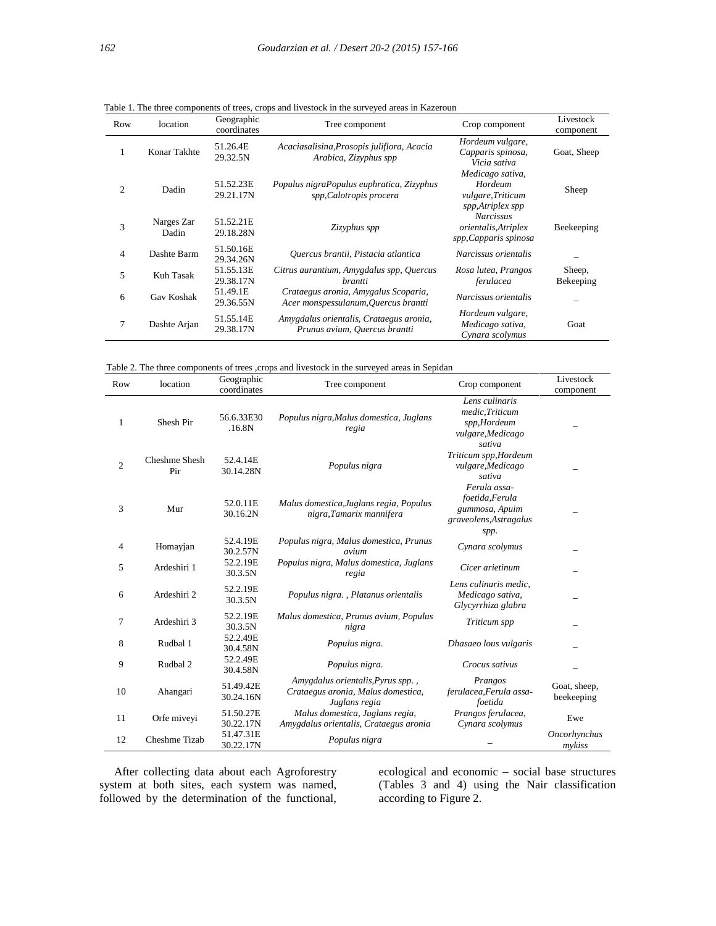| Row            | location            | Geographic<br>coordinates | . r.<br>Tree component                                                       | Crop component                                                       | Livestock<br>component |
|----------------|---------------------|---------------------------|------------------------------------------------------------------------------|----------------------------------------------------------------------|------------------------|
|                | Konar Takhte        | 51.26.4E<br>29.32.5N      | Acaciasalisina, Prosopis juliflora, Acacia<br>Arabica, Zizyphus spp          | Hordeum vulgare,<br>Capparis spinosa,<br>Vicia sativa                | Goat, Sheep            |
| $\overline{c}$ | Dadin               | 51.52.23E<br>29.21.17N    | Populus nigraPopulus euphratica, Zizyphus<br>spp, Calotropis procera         | Medicago sativa,<br>Hordeum<br>vulgare, Triticum<br>spp,Atriplex spp | Sheep                  |
| 3              | Narges Zar<br>Dadin | 51.52.21E<br>29.18.28N    | Zizyphus spp                                                                 | <b>Narcissus</b><br>orientalis, Atriplex<br>spp, Capparis spinosa    | Beekeeping             |
| $\overline{4}$ | Dashte Barm         | 51.50.16E<br>29.34.26N    | Quercus brantii, Pistacia atlantica                                          | Narcissus orientalis                                                 |                        |
| 5              | Kuh Tasak           | 51.55.13E<br>29.38.17N    | Citrus aurantium, Amygdalus spp, Quercus<br>brantti                          | Rosa lutea, Prangos<br>ferulacea                                     | Sheep,<br>Bekeeping    |
| 6              | Gav Koshak          | 51.49.1E<br>29.36.55N     | Crataegus aronia, Amygalus Scoparia,<br>Acer monspessulanum, Quercus brantti | Narcissus orientalis                                                 |                        |
| 7              | Dashte Arjan        | 51.55.14E<br>29.38.17N    | Amygdalus orientalis, Crataegus aronia,<br>Prunus avium, Quercus brantti     | Hordeum vulgare,<br>Medicago sativa,<br>Cynara scolymus              | Goat                   |

Table 1. The three components of trees, crops and livestock in the surveyed areas in Kazeroun

Table 2. The three components of trees ,crops and livestock in the surveyed areas in Sepidan

| Row            | location             | Geographic<br>coordinates | Tree component                                                                           | Crop component                                                                      | Livestock<br>component     |
|----------------|----------------------|---------------------------|------------------------------------------------------------------------------------------|-------------------------------------------------------------------------------------|----------------------------|
| 1              | Shesh Pir            | 56.6.33E30<br>.16.8N      | Populus nigra, Malus domestica, Juglans<br>regia                                         | Lens culinaris<br>medic, Triticum<br>spp,Hordeum<br>vulgare, Medicago<br>sativa     |                            |
| $\overline{2}$ | Cheshme Shesh<br>Pir | 52.4.14E<br>30.14.28N     | Populus nigra                                                                            | Triticum spp, Hordeum<br>vulgare, Medicago<br>sativa                                |                            |
| 3              | Mur                  | 52.0.11E<br>30.16.2N      | Malus domestica, Juglans regia, Populus<br>nigra, Tamarix mannifera                      | Ferula assa-<br>foetida, Ferula<br>gummosa, Apuim<br>graveolens, Astragalus<br>spp. |                            |
| 4              | Homayjan             | 52.4.19E<br>30.2.57N      | Populus nigra, Malus domestica, Prunus<br>avium                                          | Cynara scolymus                                                                     |                            |
| 5              | Ardeshiri 1          | 52.2.19E<br>30.3.5N       | Populus nigra, Malus domestica, Juglans<br>regia                                         | Cicer arietinum                                                                     |                            |
| 6              | Ardeshiri 2          | 52.2.19E<br>30.3.5N       | Populus nigra., Platanus orientalis                                                      | Lens culinaris medic,<br>Medicago sativa,<br>Glycyrrhiza glabra                     |                            |
| 7              | Ardeshiri 3          | 52.2.19E<br>30.3.5N       | Malus domestica, Prunus avium, Populus<br>nigra                                          | Triticum spp                                                                        |                            |
| 8              | Rudbal 1             | 52.2.49E<br>30.4.58N      | Populus nigra.                                                                           | Dhasaeo lous vulgaris                                                               |                            |
| 9              | Rudbal 2             | 52.2.49E<br>30.4.58N      | Populus nigra.                                                                           | Crocus sativus                                                                      |                            |
| 10             | Ahangari             | 51.49.42E<br>30.24.16N    | Amygdalus orientalis, Pyrus spp.,<br>Crataegus aronia, Malus domestica,<br>Juglans regia | Prangos<br>ferulacea, Ferula assa-<br>foetida                                       | Goat, sheep,<br>beekeeping |
| 11             | Orfe miveyi          | 51.50.27E<br>30.22.17N    | Malus domestica, Juglans regia,<br>Amygdalus orientalis, Crataegus aronia                | Prangos ferulacea,<br>Cynara scolymus                                               | Ewe                        |
| 12             | Cheshme Tizab        | 51.47.31E<br>30.22.17N    | Populus nigra                                                                            |                                                                                     | Oncorhynchus<br>mykiss     |

After collecting data about each Agroforestry system at both sites, each system was named, followed by the determination of the functional,

ecological and economic – social base structures (Tables 3 and 4) using the Nair classification according to Figure 2.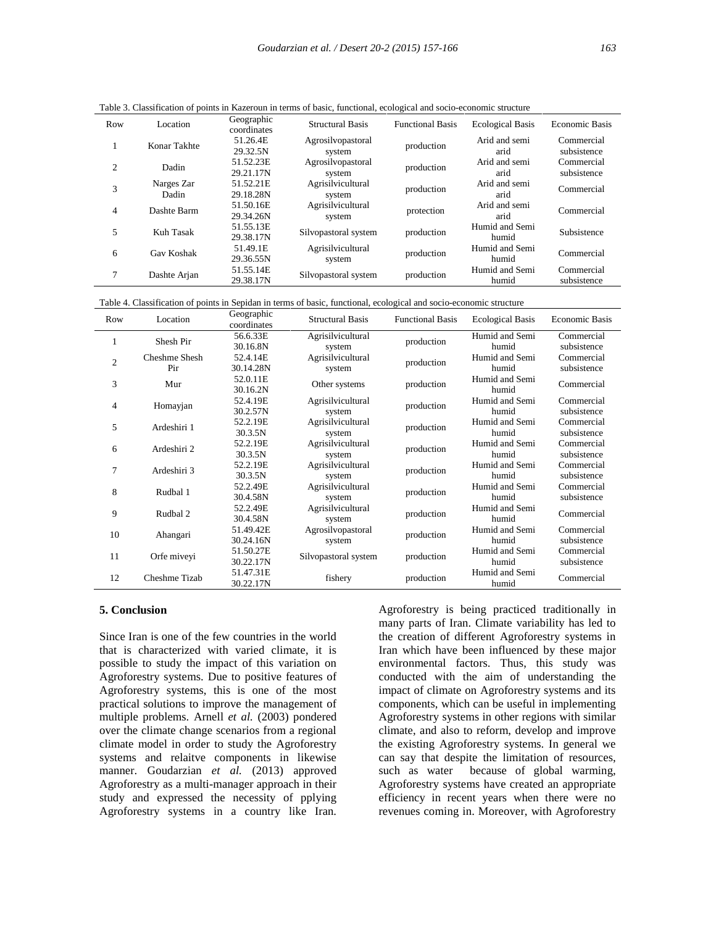| Row | Location            | Geographic<br>coordinates | <b>Structural Basis</b>     | <b>Functional Basis</b> | <b>Ecological Basis</b> | Economic Basis            |
|-----|---------------------|---------------------------|-----------------------------|-------------------------|-------------------------|---------------------------|
| ı   | Konar Takhte        | 51.26.4E<br>29.32.5N      | Agrosilvopastoral<br>system | production              | Arid and semi<br>arid   | Commercial<br>subsistence |
| 2   | Dadin               | 51.52.23E<br>29.21.17N    | Agrosilvopastoral<br>system | production              | Arid and semi<br>arid   | Commercial<br>subsistence |
| 3   | Narges Zar<br>Dadin | 51.52.21E<br>29.18.28N    | Agrisilvicultural<br>system | production              | Arid and semi<br>arid   | Commercial                |
| 4   | Dashte Barm         | 51.50.16E<br>29.34.26N    | Agrisilvicultural<br>system | protection              | Arid and semi<br>arid   | Commercial                |
| 5   | Kuh Tasak           | 51.55.13E<br>29.38.17N    | Silvopastoral system        | production              | Humid and Semi<br>humid | Subsistence               |
| 6   | Gav Koshak          | 51.49.1E<br>29.36.55N     | Agrisilvicultural<br>system | production              | Humid and Semi<br>humid | Commercial                |
| 7   | Dashte Arjan        | 51.55.14E<br>29.38.17N    | Silvopastoral system        | production              | Humid and Semi<br>humid | Commercial<br>subsistence |

Table 3. Classification of points in Kazeroun in terms of basic, functional, ecological and socio-economic structure

Table 4. Classification of points in Sepidan in terms of basic, functional, ecological and socio-economic structure

| Row            | Location             | Geographic<br>coordinates | <b>Structural Basis</b>     | <b>Functional Basis</b> | <b>Ecological Basis</b> | <b>Economic Basis</b>     |
|----------------|----------------------|---------------------------|-----------------------------|-------------------------|-------------------------|---------------------------|
| 1              | Shesh Pir            | 56.6.33E<br>30.16.8N      | Agrisilvicultural<br>system | production              | Humid and Semi<br>humid | Commercial<br>subsistence |
| $\overline{2}$ | Cheshme Shesh<br>Pir | 52.4.14E<br>30.14.28N     | Agrisilvicultural<br>system | production              | Humid and Semi<br>humid | Commercial<br>subsistence |
| 3              | Mur                  | 52.0.11E<br>30.16.2N      | Other systems               | production              | Humid and Semi<br>humid | Commercial                |
| 4              | Homayjan             | 52.4.19E<br>30.2.57N      | Agrisilvicultural<br>system | production              | Humid and Semi<br>humid | Commercial<br>subsistence |
| 5              | Ardeshiri 1          | 52.2.19E<br>30.3.5N       | Agrisilvicultural<br>system | production              | Humid and Semi<br>humid | Commercial<br>subsistence |
| 6              | Ardeshiri 2          | 52.2.19E<br>30.3.5N       | Agrisilvicultural<br>system | production              | Humid and Semi<br>humid | Commercial<br>subsistence |
| 7              | Ardeshiri 3          | 52.2.19E<br>30.3.5N       | Agrisilvicultural<br>system | production              | Humid and Semi<br>humid | Commercial<br>subsistence |
| 8              | Rudbal 1             | 52.2.49E<br>30.4.58N      | Agrisilvicultural<br>system | production              | Humid and Semi<br>humid | Commercial<br>subsistence |
| 9              | Rudbal 2             | 52.2.49E<br>30.4.58N      | Agrisilvicultural<br>system | production              | Humid and Semi<br>humid | Commercial                |
| 10             | Ahangari             | 51.49.42E<br>30.24.16N    | Agrosilvopastoral<br>system | production              | Humid and Semi<br>humid | Commercial<br>subsistence |
| 11             | Orfe miveyi          | 51.50.27E<br>30.22.17N    | Silvopastoral system        | production              | Humid and Semi<br>humid | Commercial<br>subsistence |
| 12             | Cheshme Tizab        | 51.47.31E<br>30.22.17N    | fishery                     | production              | Humid and Semi<br>humid | Commercial                |

#### **5. Conclusion**

Since Iran is one of the few countries in the world that is characterized with varied climate, it is possible to study the impact of this variation on Agroforestry systems. Due to positive features of Agroforestry systems, this is one of the most practical solutions to improve the management of multiple problems. Arnell *et al.* (2003) pondered over the climate change scenarios from a regional climate model in order to study the Agroforestry systems and relaitve components in likewise manner. Goudarzian *et al.* (2013) approved such as water Agroforestry as a multi-manager approach in their study and expressed the necessity of pplying Agroforestry systems in a country like Iran.

Agroforestry is being practiced traditionally in many parts of Iran. Climate variability has led to the creation of different Agroforestry systems in Iran which have been influenced by these major environmental factors. Thus, this study was conducted with the aim of understanding the impact of climate on Agroforestry systems and its components, which can be useful in implementing Agroforestry systems in other regions with similar climate, and also to reform, develop and improve the existing Agroforestry systems. In general we can say that despite the limitation of resources, because of global warming, Agroforestry systems have created an appropriate efficiency in recent years when there were no revenues coming in. Moreover, with Agroforestry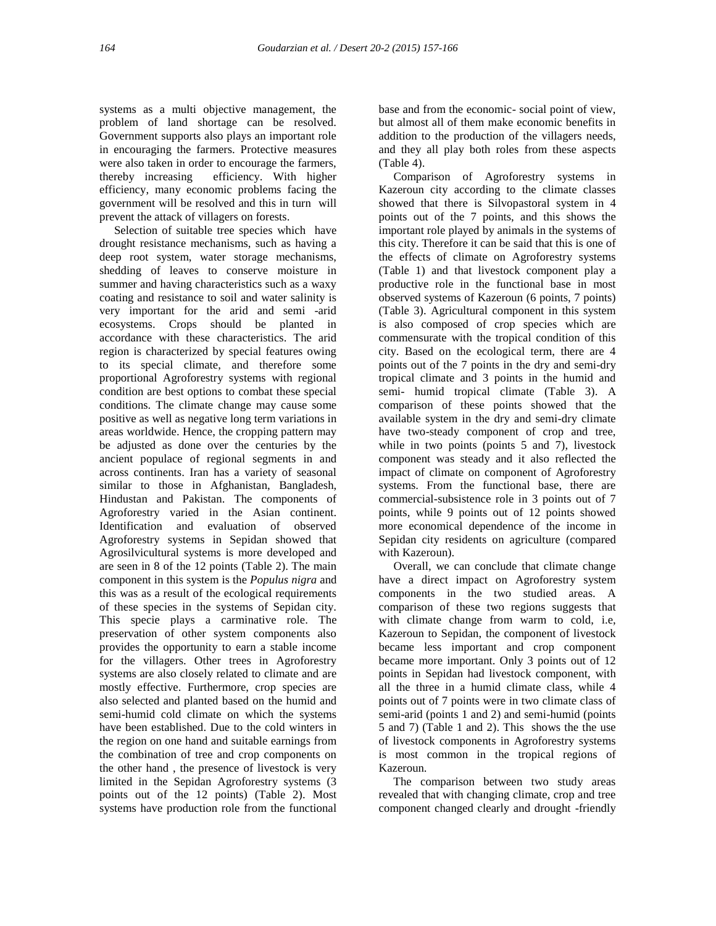systems as a multi objective management, the problem of land shortage can be resolved. Government supports also plays an important role in encouraging the farmers. Protective measures were also taken in order to encourage the farmers, thereby increasing efficiency. With higher efficiency, many economic problems facing the government will be resolved and this in turn will prevent the attack of villagers on forests.

Selection of suitable tree species which have drought resistance mechanisms, such as having a deep root system, water storage mechanisms, shedding of leaves to conserve moisture in summer and having characteristics such as a waxy coating and resistance to soil and water salinity is very important for the arid and semi -arid ecosystems. Crops should be planted in accordance with these characteristics. The arid region is characterized by special features owing to its special climate, and therefore some proportional Agroforestry systems with regional condition are best options to combat these special conditions. The climate change may cause some positive as well as negative long term variations in areas worldwide. Hence, the cropping pattern may be adjusted as done over the centuries by the ancient populace of regional segments in and across continents. Iran has a variety of seasonal similar to those in Afghanistan, Bangladesh, Hindustan and Pakistan. The components of Agroforestry varied in the Asian continent. Identification and evaluation of observed Agroforestry systems in Sepidan showed that Agrosilvicultural systems is more developed and are seen in 8 of the 12 points (Table 2). The main component in this system is the*Populus nigra* and this was as a result of the ecological requirements of these species in the systems of Sepidan city. This specie plays a carminative role. The preservation of other system components also provides the opportunity to earn a stable income for the villagers. Other trees in Agroforestry systems are also closely related to climate and are mostly effective. Furthermore, crop species are also selected and planted based on the humid and semi-humid cold climate on which the systems have been established. Due to the cold winters in the region on one hand and suitable earnings from the combination of tree and crop components on the other hand , the presence of livestock is very limited in the Sepidan Agroforestry systems (3 points out of the 12 points) (Table 2). Most systems have production role from the functional

base and from the economic- social point of view, but almost all of them make economic benefits in addition to the production of the villagers needs, and they all play both roles from these aspects (Table 4).

Comparison of Agroforestry systems in Kazeroun city according to the climate classes showed that there is Silvopastoral system in 4 points out of the 7 points, and this shows the important role played by animals in the systems of this city. Therefore it can be said that this is one of the effects of climate on Agroforestry systems (Table 1) and that livestock component play a productive role in the functional base in most observed systems of Kazeroun (6 points, 7 points) (Table 3). Agricultural component in this system is also composed of crop species which are commensurate with the tropical condition of this city. Based on the ecological term, there are 4 points out of the 7 points in the dry and semi-dry tropical climate and 3 points in the humid and semi- humid tropical climate (Table 3). A comparison of these points showed that the available system in the dry and semi-dry climate have two-steady component of crop and tree, while in two points (points 5 and 7), livestock component was steady and it also reflected the impact of climate on component of Agroforestry systems. From the functional base, there are commercial-subsistence role in 3 points out of 7 points, while 9 points out of 12 points showed more economical dependence of the income in Sepidan city residents on agriculture (compared with Kazeroun).

Overall, we can conclude that climate change have a direct impact on Agroforestry system components in the two studied areas. A comparison of these two regions suggests that with climate change from warm to cold, i.e, Kazeroun to Sepidan, the component of livestock became less important and crop component became more important. Only 3 points out of 12 points in Sepidan had livestock component, with all the three in a humid climate class, while 4 points out of 7 points were in two climate class of semi-arid (points 1 and 2) and semi-humid (points 5 and 7) (Table 1 and 2). This shows the the use of livestock components in Agroforestry systems is most common in the tropical regions of Kazeroun.

The comparison between two study areas revealed that with changing climate, crop and tree component changed clearly and drought -friendly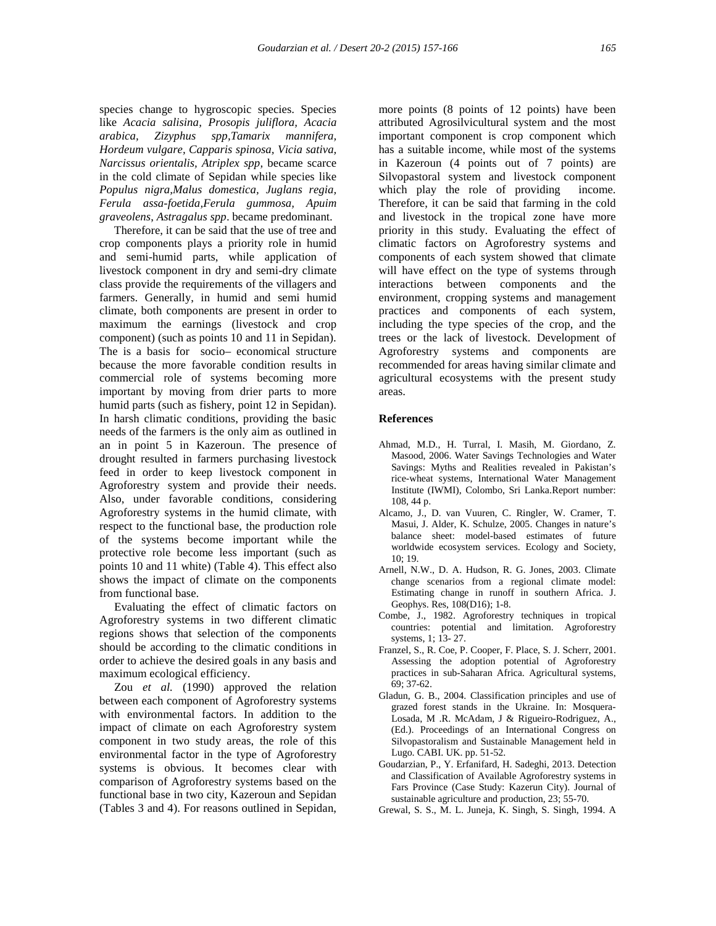species change to hygroscopic species. Species like *Acacia salisina, Prosopis juliflora, Acacia arabica, Zizyphus spp,Tamarix mannifera, Hordeum vulgare, Capparis spinosa, Vicia sativa, Narcissus orientalis, Atriplex spp,* became scarce in the cold climate of Sepidan while species like *Populus nigra,Malus domestica, Juglans regia, Ferula assa-foetida,Ferula gummosa, Apuim graveolens*, *Astragalus spp*. became predominant.

Therefore, it can be said that the use of tree and crop components plays a priority role in humid and semi-humid parts, while application of livestock component in dry and semi-dry climate class provide the requirements of the villagers and farmers. Generally, in humid and semi humid climate, both components are present in order to maximum the earnings (livestock and crop component) (such as points 10 and 11 in Sepidan). The is a basis for socio– economical structure because the more favorable condition results in commercial role of systems becoming more important by moving from drier parts to more humid parts (such as fishery, point 12 in Sepidan). In harsh climatic conditions, providing the basic needs of the farmers is the only aim as outlined in an in point 5 in Kazeroun. The presence of drought resulted in farmers purchasing livestock feed in order to keep livestock component in Agroforestry system and provide their needs. Also, under favorable conditions, considering Agroforestry systems in the humid climate, with respect to the functional base, the production role of the systems become important while the protective role become less important (such as points 10 and 11 white) (Table 4). This effect also shows the impact of climate on the components from functional base.

Evaluating the effect of climatic factors on Agroforestry systems in two different climatic regions shows that selection of the components should be according to the climatic conditions in order to achieve the desired goals in any basis and maximum ecological efficiency.

Zou *et al.* (1990) approved the relation between each component of Agroforestry systems with environmental factors. In addition to the impact of climate on each Agroforestry system component in two study areas, the role of this environmental factor in the type of Agroforestry systems is obvious. It becomes clear with comparison of Agroforestry systems based on the functional base in two city, Kazeroun and Sepidan (Tables 3 and 4). For reasons outlined in Sepidan, more points (8 points of 12 points) have been attributed Agrosilvicultural system and the most important component is crop component which has a suitable income, while most of the systems in Kazeroun (4 points out of 7 points) are Silvopastoral system and livestock component which play the role of providing income. Therefore, it can be said that farming in the cold and livestock in the tropical zone have more priority in this study. Evaluating the effect of climatic factors on Agroforestry systems and components of each system showed that climate will have effect on the type of systems through interactions between components and the environment, cropping systems and management practices and components of each system, including the type species of the crop, and the trees or the lack of livestock. Development of Agroforestry systems and components are recommended for areas having similar climate and agricultural ecosystems with the present study areas.

#### **References**

- Ahmad, M.D., H. Turral, I. Masih, M. Giordano, Z. Masood, 2006. Water Savings Technologies and Water Savings: Myths and Realities revealed in Pakistan's rice-wheat systems, International Water Management Institute (IWMI), Colombo, Sri Lanka.Report number: 108, 44 p.
- Alcamo, J., D. van Vuuren, C. Ringler, W. Cramer, T. Masui, J. Alder, K. Schulze, 2005. Changes in nature's balance sheet: model-based estimates of future worldwide ecosystem services. Ecology and Society,  $10:19.$
- Arnell, N.W., D. A. Hudson, R. G. Jones, 2003. Climate change scenarios from a regional climate model: Estimating change in runoff in southern Africa. J. Geophys. Res, 108(D16); 1-8.
- Combe, J., 1982. Agroforestry techniques in tropical countries: potential and limitation. Agroforestry systems, 1; 13- 27.
- Franzel, S., R. Coe, P. Cooper, F. Place, S. J. Scherr, 2001. Assessing the adoption potential of Agroforestry practices in sub-Saharan Africa. Agricultural systems, 69; 37-62.
- Gladun, G. B., 2004. Classification principles and use of grazed forest stands in the Ukraine. In: Mosquera- Losada, M .R. McAdam, J & Rigueiro-Rodriguez, A., (Ed.). Proceedings of an International Congress on Silvopastoralism and Sustainable Management held in Lugo. CABI. UK. pp. 51-52.
- Goudarzian, P., Y. Erfanifard, H. Sadeghi, 2013. Detection and Classification of Available Agroforestry systems in Fars Province (Case Study: Kazerun City). Journal of sustainable agriculture and production, 23; 55-70.
- Grewal, S. S., M. L. Juneja, K. Singh, S. Singh, 1994. A